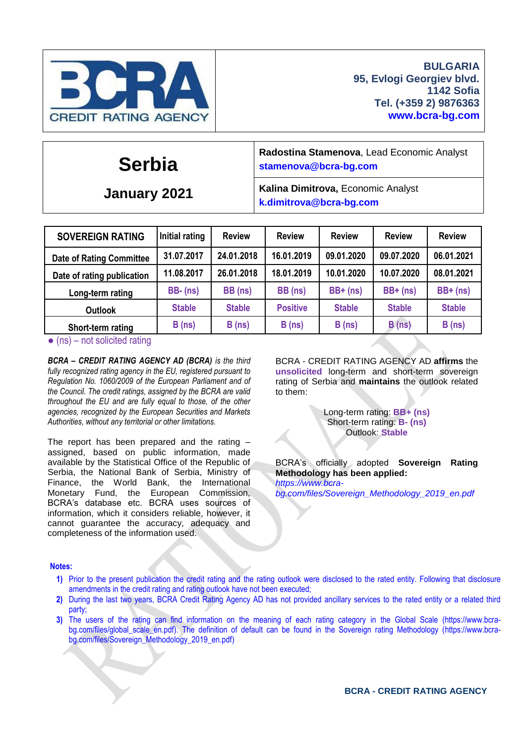

# **Serbia**

**January 2021**

**Radostina Stamenova**, Lead Economic Analyst **[stamenova@bcra-bg.com](mailto:stamenova@bcra-bg.com)**

**Kalina Dimitrova,** Economic Analyst **k[.dimitrova@bcra-bg.com](mailto:dimitrova@bcra-bg.com)**

| <b>SOVEREIGN RATING</b>         | Initial rating | <b>Review</b> | <b>Review</b>   | <b>Review</b> | <b>Review</b> | <b>Review</b> |
|---------------------------------|----------------|---------------|-----------------|---------------|---------------|---------------|
| <b>Date of Rating Committee</b> | 31.07.2017     | 24.01.2018    | 16.01.2019      | 09.01.2020    | 09.07.2020    | 06.01.2021    |
| Date of rating publication      | 11.08.2017     | 26.01.2018    | 18.01.2019      | 10.01.2020    | 10.07.2020    | 08.01.2021    |
| Long-term rating                | $BB - (ns)$    | BB (ns)       | BB (ns)         | $BB+$ (ns)    | $BB+$ (ns)    | $BB+$ (ns)    |
| <b>Outlook</b>                  | <b>Stable</b>  | <b>Stable</b> | <b>Positive</b> | <b>Stable</b> | <b>Stable</b> | <b>Stable</b> |
| Short-term rating               | B(ns)          | B(ns)         | B(ns)           | B(ns)         | B(ns)         | B(ns)         |

 $\bullet$  (ns) – not solicited rating

*BCRA – CREDIT RATING AGENCY AD (BCRA) is the third fully recognized rating agency in the EU, registered pursuant to Regulation No. 1060/2009 of the European Parliament and of the Council. The credit ratings, assigned by the BCRA are valid throughout the EU and are fully equal to those, of the other agencies, recognized by the European Securities and Markets Authorities, without any territorial or other limitations.*

The report has been prepared and the rating – assigned, based on public information, made available by the Statistical Office of the Republic of Serbia, the National Bank of Serbia, Ministry of Finance, the World Bank, the International Monetary Fund, the European Commission, BCRA's database etc. BCRA uses sources of information, which it considers reliable, however, it cannot guarantee the accuracy, adequacy and completeness of the information used.

BCRA - CREDIT RATING AGENCY AD **affirms** the **unsolicited** long-term and short-term sovereign rating of Serbia and **maintains** the outlook related to them:

> Long-term rating: **BB+ (ns)** Short-term rating: **B- (ns)** Outlook: **Stable**

BCRA's officially adopted **Sovereign Rating Methodology has been applied:** *[https://www.bcra](https://www.bcra-bg.com/files/Sovereign_Methodology_2019_en.pdf)[bg.com/files/Sovereign\\_Methodology\\_2019\\_en.pdf](https://www.bcra-bg.com/files/Sovereign_Methodology_2019_en.pdf)*

#### **Notes:**

- **1)** Prior to the present publication the credit rating and the rating outlook were disclosed to the rated entity. Following that disclosure amendments in the credit rating and rating outlook have not been executed;
- **2)** During the last two years, BCRA Credit Rating Agency AD has not provided ancillary services to the rated entity or a related third party;
- **3)** The users of the rating can find information on the meaning of each rating category in the Global Scale [\(https://www.bcra-](https://www.bcra-bg.com/files/global_scale_en.pdf)bg.com/files/global scale en.pdf). The definition of default can be found in the Sovereign rating Methodology [\(https://www.bcra](https://www.bcra-bg.com/files/Sovereign_Methodology_2019_en.pdf)[bg.com/files/Sovereign\\_Methodology\\_2019\\_en.pdf\)](https://www.bcra-bg.com/files/Sovereign_Methodology_2019_en.pdf)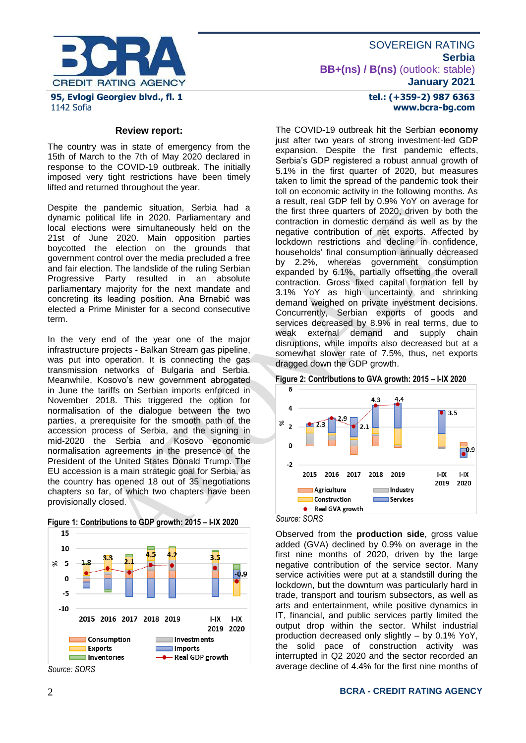

### **tel.: (+359-2) 987 6363 www.bcra-bg.com**

### **Review report:**

The country was in state of emergency from the 15th of March to the 7th of May 2020 declared in response to the COVID-19 outbreak. The initially imposed very tight restrictions have been timely lifted and returned throughout the year.

Despite the pandemic situation, Serbia had a dynamic political life in 2020. Parliamentary and local elections were simultaneously held on the 21st of June 2020. Main opposition parties boycotted the election on the grounds that government control over the media precluded a free and fair election. The landslide of the ruling Serbian Progressive Party resulted in an absolute parliamentary majority for the next mandate and concreting its leading position. Ana Brnabić was elected a Prime Minister for a second consecutive term.

In the very end of the year one of the major infrastructure projects - Balkan Stream gas pipeline, was put into operation. It is connecting the gas transmission networks of Bulgaria and Serbia. Meanwhile, Kosovo's new government abrogated in June the tariffs on Serbian imports enforced in November 2018. This triggered the option for normalisation of the dialogue between the two parties, a prerequisite for the smooth path of the accession process of Serbia, and the signing in mid-2020 the Serbia and Kosovo economic normalisation agreements in the presence of the President of the United States Donald Trump. The EU accession is a main strategic goal for Serbia, as the country has opened 18 out of 35 negotiations chapters so far, of which two chapters have been provisionally closed.



### **Figure 1: Contributions to GDP growth: 2015 – I-IX 2020**

The COVID-19 outbreak hit the Serbian **economy**  just after two years of strong investment-led GDP expansion. Despite the first pandemic effects, Serbia's GDP registered a robust annual growth of 5.1% in the first quarter of 2020, but measures taken to limit the spread of the pandemic took their toll on economic activity in the following months. As a result, real GDP fell by 0.9% YoY on average for the first three quarters of 2020, driven by both the contraction in domestic demand as well as by the negative contribution of net exports. Affected by lockdown restrictions and decline in confidence, households' final consumption annually decreased by 2.2%, whereas government consumption expanded by 6.1%, partially offsetting the overall contraction. Gross fixed capital formation fell by 3.1% YoY as high uncertainty and shrinking demand weighed on private investment decisions. Concurrently, Serbian exports of goods and services decreased by 8.9% in real terms, due to weak external demand and supply chain disruptions, while imports also decreased but at a somewhat slower rate of 7.5%, thus, net exports dragged down the GDP growth.

**Figure 2: Contributions to GVA growth: 2015 – I-IX 2020**



*Source: SORS*

Observed from the **production side**, gross value added (GVA) declined by 0.9% on average in the first nine months of 2020, driven by the large negative contribution of the service sector. Many service activities were put at a standstill during the lockdown, but the downturn was particularly hard in trade, transport and tourism subsectors, as well as arts and entertainment, while positive dynamics in IT, financial, and public services partly limited the output drop within the sector. Whilst industrial production decreased only slightly – by 0.1% YoY, the solid pace of construction activity was interrupted in Q2 2020 and the sector recorded an average decline of 4.4% for the first nine months of

### 2 **BCRA - CREDIT RATING AGENCY**

*Source: SORS*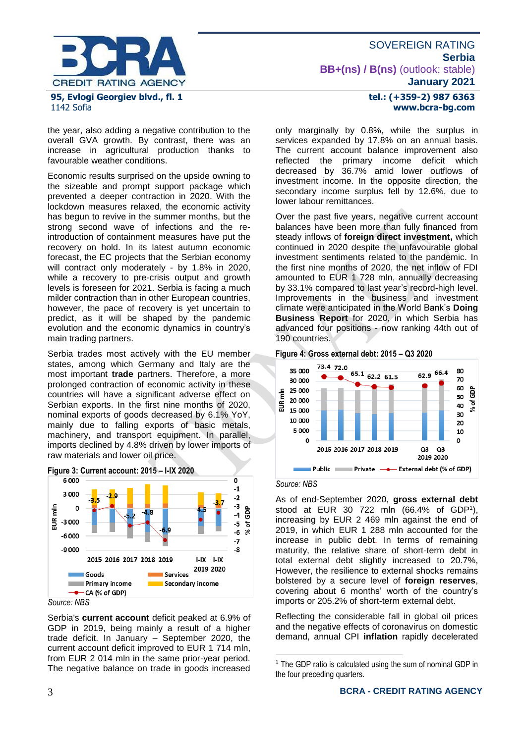

the year, also adding a negative contribution to the overall GVA growth. By contrast, there was an increase in agricultural production thanks to favourable weather conditions.

Economic results surprised on the upside owning to the sizeable and prompt support package which prevented a deeper contraction in 2020. With the lockdown measures relaxed, the economic activity has begun to revive in the summer months, but the strong second wave of infections and the reintroduction of containment measures have put the recovery on hold. In its latest autumn economic forecast, the EC projects that the Serbian economy will contract only moderately - by 1.8% in 2020, while a recovery to pre-crisis output and growth levels is foreseen for 2021. Serbia is facing a much milder contraction than in other European countries, however, the pace of recovery is yet uncertain to predict, as it will be shaped by the pandemic evolution and the economic dynamics in country's main trading partners.

Serbia trades most actively with the EU member states, among which Germany and Italy are the most important **trade** partners. Therefore, a more prolonged contraction of economic activity in these countries will have a significant adverse effect on Serbian exports. In the first nine months of 2020, nominal exports of goods decreased by 6.1% YoY, mainly due to falling exports of basic metals, machinery, and transport equipment. In parallel, imports declined by 4.8% driven by lower imports of raw materials and lower oil price.



*Source: NBS*

Serbia's **current account** deficit peaked at 6.9% of GDP in 2019, being mainly a result of a higher trade deficit. In January – September 2020, the current account deficit improved to EUR 1 714 mln, from EUR 2 014 mln in the same prior-year period. The negative balance on trade in goods increased

### **tel.: (+359-2) 987 6363 www.bcra-bg.com**

only marginally by 0.8%, while the surplus in services expanded by 17.8% on an annual basis. The current account balance improvement also reflected the primary income deficit which decreased by 36.7% amid lower outflows of investment income. In the opposite direction, the secondary income surplus fell by 12.6%, due to lower labour remittances.

Over the past five years, negative current account balances have been more than fully financed from steady inflows of **foreign direct investment,** which continued in 2020 despite the unfavourable global investment sentiments related to the pandemic. In the first nine months of 2020, the net inflow of FDI amounted to EUR 1 728 mln, annually decreasing by 33.1% compared to last year's record-high level. Improvements in the business and investment climate were anticipated in the World Bank's **Doing Business Report** for 2020, in which Serbia has advanced four positions - now ranking 44th out of 190 countries.





*Source: NBS*

<u>.</u>

As of end-September 2020, **gross external debt** stood at EUR 30 722 mln (66.4% of GDP<sup>1</sup> ), increasing by EUR 2 469 mln against the end of 2019, in which EUR 1 288 mln accounted for the increase in public debt. In terms of remaining maturity, the relative share of short-term debt in total external debt slightly increased to 20.7%, However, the resilience to external shocks remains bolstered by a secure level of **foreign reserves**, covering about 6 months' worth of the country's imports or 205.2% of short-term external debt.

Reflecting the considerable fall in global oil prices and the negative effects of coronavirus on domestic demand, annual CPI **inflation** rapidly decelerated

 $<sup>1</sup>$  The GDP ratio is calculated using the sum of nominal GDP in</sup> the four preceding quarters.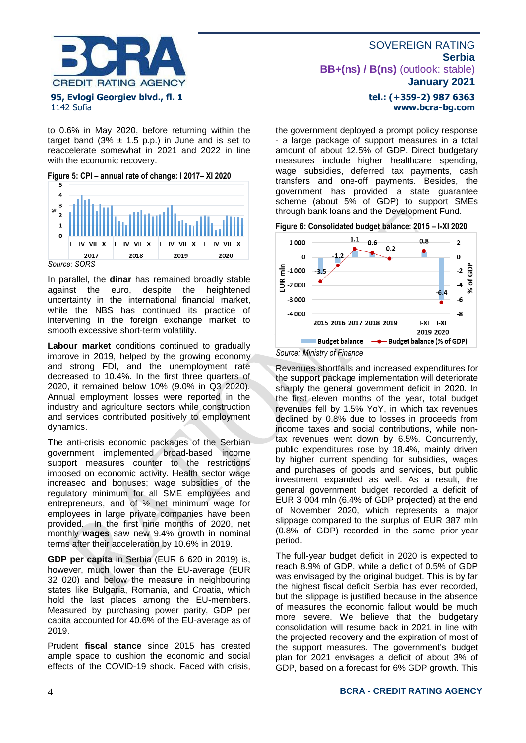

#### 1142 Sofia

to 0.6% in May 2020, before returning within the target band  $(3\% \pm 1.5 \text{ p.p.})$  in June and is set to reaccelerate somewhat in 2021 and 2022 in line with the economic recovery.

**Figure 5: CPI – annual rate of change: I 2017– XI 2020**



*Source: SORS*

In parallel, the **dinar** has remained broadly stable against the euro, despite the heightened uncertainty in the international financial market, while the NBS has continued its practice of intervening in the foreign exchange market to smooth excessive short-term volatility.

**Labour market** conditions continued to gradually improve in 2019, helped by the growing economy and strong FDI, and the unemployment rate decreased to 10.4%. In the first three quarters of 2020, it remained below 10% (9.0% in Q3 2020). Annual employment losses were reported in the industry and agriculture sectors while construction and services contributed positively to employment dynamics.

The anti-crisis economic packages of the Serbian government implemented broad-based income support measures counter to the restrictions imposed on economic activity. Health sector wage increaseс and bonuses; wage subsidies of the regulatory minimum for all SME employees and entrepreneurs, and of ½ net minimum wage for employees in large private companies have been provided. In the first nine months of 2020, net monthly **wages** saw new 9.4% growth in nominal terms after their acceleration by 10.6% in 2019.

**GDP per capita** in Serbia (EUR 6 620 in 2019) is, however, much lower than the EU-average (EUR 32 020) and below the measure in neighbouring states like Bulgaria, Romania, and Croatia, which hold the last places among the EU-members. Measured by purchasing power parity, GDP per capita accounted for 40.6% of the EU-average as of 2019.

Prudent **fiscal stance** since 2015 has created ample space to cushion the economic and social effects of the COVID-19 shock. Faced with crisis,

# SOVEREIGN RATING **Serbia BB+(ns) / B(ns)** (outlook: stable) **January 2021**

### **tel.: (+359-2) 987 6363 www.bcra-bg.com**

the government deployed a prompt policy response - a large package of support measures in a total amount of about 12.5% of GDP. Direct budgetary measures include higher healthcare spending, wage subsidies, deferred tax payments, cash transfers and one-off payments. Besides, the government has provided a state guarantee scheme (about 5% of GDP) to support SMEs through bank loans and the Development Fund.





Revenues shortfalls and increased expenditures for the support package implementation will deteriorate sharply the general government deficit in 2020. In the first eleven months of the year, total budget revenues fell by 1.5% YoY, in which tax revenues declined by 0.8% due to losses in proceeds from income taxes and social contributions, while nontax revenues went down by 6.5%. Concurrently, public expenditures rose by 18.4%, mainly driven by higher current spending for subsidies, wages and purchases of goods and services, but public investment expanded as well. As a result, the general government budget recorded a deficit of EUR 3 004 mln (6.4% of GDP projected) at the end of November 2020, which represents a major slippage compared to the surplus of EUR 387 mln (0.8% of GDP) recorded in the same prior-year period.

The full-year budget deficit in 2020 is expected to reach 8.9% of GDP, while a deficit of 0.5% of GDP was envisaged by the original budget. This is by far the highest fiscal deficit Serbia has ever recorded, but the slippage is justified because in the absence of measures the economic fallout would be much more severe. We believe that the budgetary consolidation will resume back in 2021 in line with the projected recovery and the expiration of most of the support measures. The government's budget plan for 2021 envisages a deficit of about 3% of GDP, based on a forecast for 6% GDP growth. This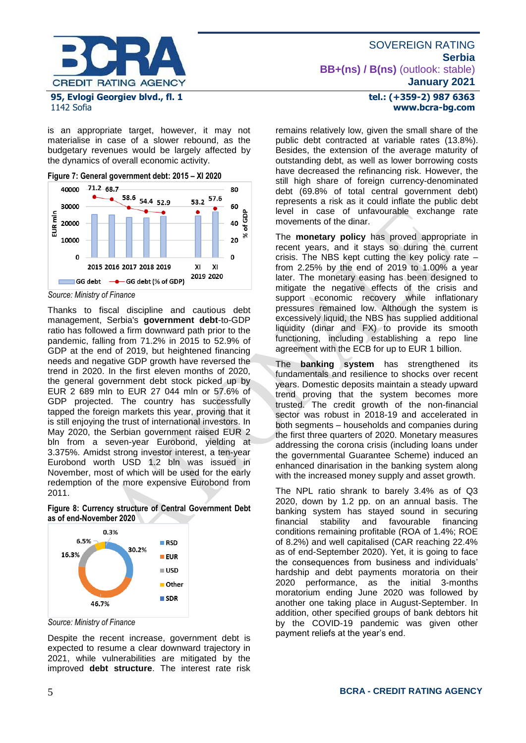

1142 Sofia

is an appropriate target, however, it may not materialise in case of a slower rebound, as the budgetary revenues would be largely affected by the dynamics of overall economic activity.

**Figure 7: General government debt: 2015 – XI 2020**



*Source: Ministry of Finance*

Thanks to fiscal discipline and cautious debt management, Serbia's **government debt**-to-GDP ratio has followed a firm downward path prior to the pandemic, falling from 71.2% in 2015 to 52.9% of GDP at the end of 2019, but heightened financing needs and negative GDP growth have reversed the trend in 2020. In the first eleven months of 2020, the general government debt stock picked up by EUR 2 689 mln to EUR 27 044 mln or 57.6% of GDP projected. The country has successfully tapped the foreign markets this year, proving that it is still enjoying the trust of international investors. In May 2020, the Serbian government raised EUR 2 bln from a seven-year Eurobond, yielding at 3.375%. Amidst strong investor interest, a ten-year Eurobond worth USD 1.2 bln was issued in November, most of which will be used for the early redemption of the more expensive Eurobond from 2011.

**Figure 8: Currency structure of Central Government Debt as of end-November 2020**



*Source: Ministry of Finance*

Despite the recent increase, government debt is expected to resume a clear downward trajectory in 2021, while vulnerabilities are mitigated by the improved **debt structure**. The interest rate risk

# **tel.: (+359-2) 987 6363 www.bcra-bg.com**

remains relatively low, given the small share of the public debt contracted at variable rates (13.8%). Besides, the extension of the average maturity of outstanding debt, as well as lower borrowing costs have decreased the refinancing risk. However, the still high share of foreign currency-denominated debt (69.8% of total central government debt) represents a risk as it could inflate the public debt level in case of unfavourable exchange rate movements of the dinar.

The **monetary policy** has proved appropriate in recent years, and it stays so during the current crisis. The NBS kept cutting the key policy rate – from 2.25% by the end of 2019 to 1.00% a year later. The monetary easing has been designed to mitigate the negative effects of the crisis and support economic recovery while inflationary pressures remained low. Although the system is excessively liquid, the NBS has supplied additional liquidity (dinar and FX) to provide its smooth functioning, including establishing a repo line agreement with the ECB for up to EUR 1 billion.

The **banking system** has strengthened its fundamentals and resilience to shocks over recent years. Domestic deposits maintain a steady upward trend proving that the system becomes more trusted. The credit growth of the non-financial sector was robust in 2018-19 and accelerated in both segments – households and companies during the first three quarters of 2020. Monetary measures addressing the corona crisis (including loans under the governmental Guarantee Scheme) induced an enhanced dinarisation in the banking system along with the increased money supply and asset growth.

The NPL ratio shrank to barely 3.4% as of Q3 2020, down by 1.2 pp. on an annual basis. The banking system has stayed sound in securing financial stability and favourable financing conditions remaining profitable (ROA of 1.4%; ROE of 8.2%) and well capitalised (CAR reaching 22.4% as of end-September 2020). Yet, it is going to face the consequences from business and individuals' hardship and debt payments moratoria on their 2020 performance, as the initial 3-months moratorium ending June 2020 was followed by another one taking place in August-September. In addition, other specified groups of bank debtors hit by the COVID-19 pandemic was given other payment reliefs at the year's end.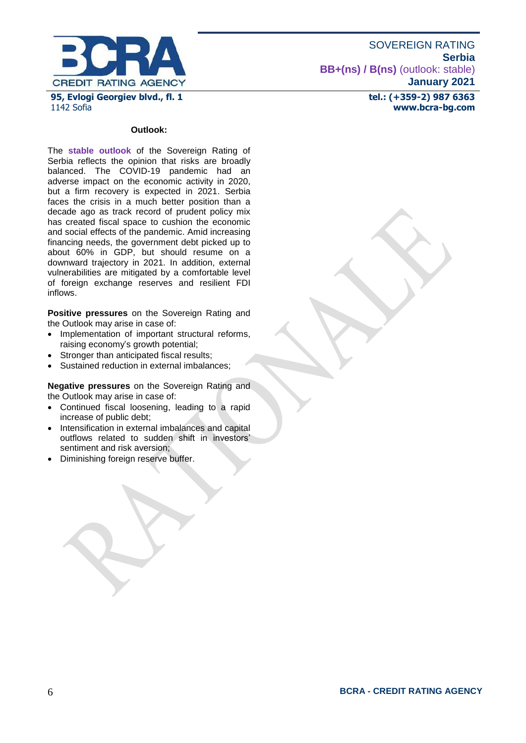

**tel.: (+359-2) 987 6363 www.bcra-bg.com** 

#### **Outlook:**

The **stable outlook** of the Sovereign Rating of Serbia reflects the opinion that risks are broadly balanced. The COVID-19 pandemic had an adverse impact on the economic activity in 2020, but a firm recovery is expected in 2021. Serbia faces the crisis in a much better position than a decade ago as track record of prudent policy mix has created fiscal space to cushion the economic and social effects of the pandemic. Amid increasing financing needs, the government debt picked up to about 60% in GDP, but should resume on a downward trajectory in 2021. In addition, external vulnerabilities are mitigated by a comfortable level of foreign exchange reserves and resilient FDI inflows.

**Positive pressures** on the Sovereign Rating and the Outlook may arise in case of:

- Implementation of important structural reforms, raising economy's growth potential;
- Stronger than anticipated fiscal results;
- Sustained reduction in external imbalances;

**Negative pressures** on the Sovereign Rating and the Outlook may arise in case of:

- Continued fiscal loosening, leading to a rapid increase of public debt;
- Intensification in external imbalances and capital outflows related to sudden shift in investors' sentiment and risk aversion;
- Diminishing foreign reserve buffer.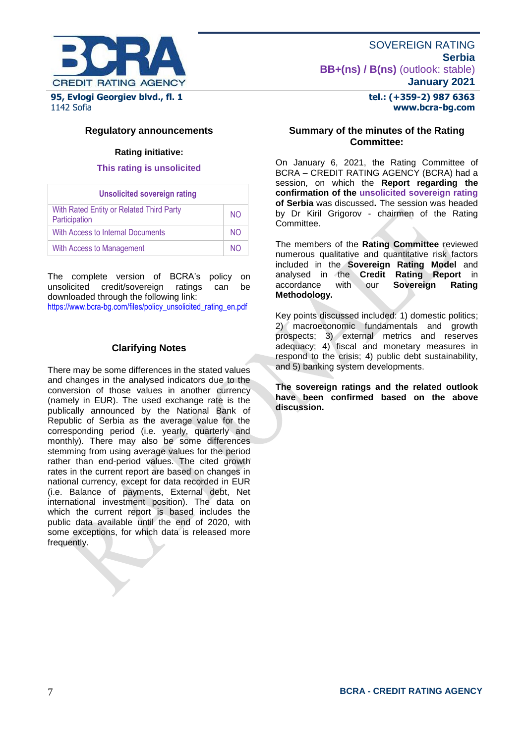

# **Regulatory announcements**

### **Rating initiative:**

### **This rating is unsolicited**

| <b>Unsolicited sovereign rating</b>                       |     |
|-----------------------------------------------------------|-----|
| With Rated Entity or Related Third Party<br>Participation | NO. |
| With Access to Internal Documents                         | NO. |
| With Access to Management                                 | NΟ  |

The complete version of BCRA's policy on unsolicited credit/sovereign ratings can be downloaded through the following link:

[https://www.bcra-bg.com/files/policy\\_unsolicited\\_rating\\_en.pdf](https://www.bcra-bg.com/files/policy_unsolicited_rating_en.pdf)

# **Clarifying Notes**

There may be some differences in the stated values and changes in the analysed indicators due to the conversion of those values in another currency (namely in EUR). The used exchange rate is the publically announced by the National Bank of Republic of Serbia as the average value for the corresponding period (i.e. yearly, quarterly and monthly). There may also be some differences stemming from using average values for the period rather than end-period values. The cited growth rates in the current report are based on changes in national currency, except for data recorded in EUR (i.e. Balance of payments, External debt, Net international investment position). The data on which the current report is based includes the public data available until the end of 2020, with some exceptions, for which data is released more frequently.

# **tel.: (+359-2) 987 6363 www.bcra-bg.com**

### **Summary of the minutes of the Rating Committee:**

On January 6, 2021, the Rating Committee of BCRA – CREDIT RATING AGENCY (BCRA) had a session, on which the **Report regarding the confirmation of the unsolicited sovereign rating of Serbia** was discussed**.** The session was headed by Dr Kiril Grigorov - chairmen of the Rating Committee.

The members of the **Rating Committee** reviewed numerous qualitative and quantitative risk factors included in the **Sovereign Rating Model** and analysed in the **Credit Rating Report** in accordance **Methodology.**

Key points discussed included: 1) domestic politics; 2) macroeconomic fundamentals and growth prospects; 3) external metrics and reserves adequacy; 4) fiscal and monetary measures in respond to the crisis; 4) public debt sustainability, and 5) banking system developments.

**The sovereign ratings and the related outlook have been confirmed based on the above discussion.**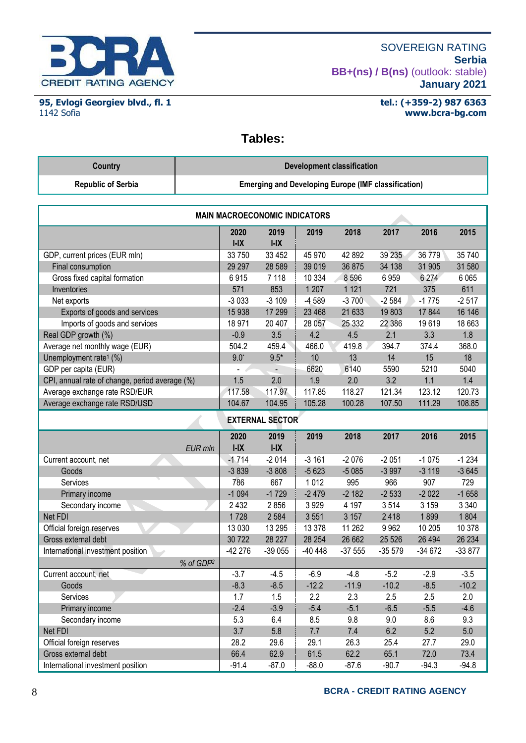

**95, Evlogi Georgiev blvd., fl. 1** 1142 Sofia

### **tel.: (+359-2) 987 6363 www.bcra-bg.com**

# **Tables:**

| Country                   | Development classification                                 |
|---------------------------|------------------------------------------------------------|
| <b>Republic of Serbia</b> | <b>Emerging and Developing Europe (IMF classification)</b> |

| <b>MAIN MACROECONOMIC INDICATORS</b>           |                |                |          |          |          |          |          |  |
|------------------------------------------------|----------------|----------------|----------|----------|----------|----------|----------|--|
|                                                | 2020<br>$I-IX$ | 2019<br>$I-IX$ | 2019     | 2018     | 2017     | 2016     | 2015     |  |
| GDP, current prices (EUR mln)                  | 33 750         | 33 452         | 45 970   | 42 892   | 39 235   | 36 779   | 35 740   |  |
| Final consumption                              | 29 29 7        | 28 5 89        | 39 019   | 36 875   | 34 138   | 31 905   | 31 580   |  |
| Gross fixed capital formation                  | 6915           | 7 1 1 8        | 10 334   | 8596     | 6959     | 6 2 7 4  | 6 0 6 5  |  |
| Inventories                                    | 571            | 853            | 1 2 0 7  | 1 1 2 1  | 721      | 375      | 611      |  |
| Net exports                                    | $-3033$        | $-3109$        | -4 589   | $-3700$  | $-2584$  | $-1775$  | $-2517$  |  |
| Exports of goods and services                  | 15 938         | 17 299         | 23 4 68  | 21 633   | 19803    | 17 844   | 16 14 6  |  |
| Imports of goods and services                  | 18 971         | 20 407         | 28 057   | 25 3 32  | 22 386   | 19619    | 18 663   |  |
| Real GDP growth (%)                            | $-0.9$         | 3.5            | 4.2      | 4.5      | 2.1      | 3.3      | 1.8      |  |
| Average net monthly wage (EUR)                 | 504.2          | 459.4          | 466.0    | 419.8    | 394.7    | 374.4    | 368.0    |  |
| Unemployment rate <sup>1</sup> (%)             | $9.0^*$        | $9.5*$         | 10       | 13       | 14       | 15       | 18       |  |
| GDP per capita (EUR)                           |                |                | 6620     | 6140     | 5590     | 5210     | 5040     |  |
| CPI, annual rate of change, period average (%) | 1.5            | 2.0            | 1.9      | 2.0      | 3.2      | 1.1      | 1.4      |  |
| Average exchange rate RSD/EUR                  | 117.58         | 117.97         | 117.85   | 118.27   | 121.34   | 123.12   | 120.73   |  |
| Average exchange rate RSD/USD                  | 104.67         | 104.95         | 105.28   | 100.28   | 107.50   | 111.29   | 108.85   |  |
| <b>EXTERNAL SECTOR</b>                         |                |                |          |          |          |          |          |  |
|                                                | 2020           | 2019           | 2019     | 2018     | 2017     | 2016     | 2015     |  |
| <b>EUR</b> mln                                 | $I-IX$         | $I-IX$         |          |          |          |          |          |  |
| Current account, net                           | $-1714$        | $-2014$        | $-3161$  | $-2076$  | $-2051$  | $-1075$  | $-1234$  |  |
| Goods                                          | $-3839$        | $-3808$        | $-5623$  | $-5085$  | $-3997$  | $-3119$  | $-3645$  |  |
| Services                                       | 786            | 667            | 1012     | 995      | 966      | 907      | 729      |  |
| Primary income                                 | $-1094$        | $-1729$        | $-2479$  | $-2182$  | $-2533$  | $-2022$  | $-1658$  |  |
| Secondary income                               | 2 4 3 2        | 2856           | 3929     | 4 1 9 7  | 3514     | 3 1 5 9  | 3 3 4 0  |  |
| Net FDI                                        | 1728           | 2 5 8 4        | 3551     | 3 1 5 7  | 2418     | 1899     | 1804     |  |
| Official foreign reserves                      | 13 0 30        | 13 29 5        | 13 378   | 11 262   | 9 9 6 2  | 10 205   | 10 378   |  |
| Gross external debt                            | 30 722         | 28 227         | 28 254   | 26 662   | 25 5 26  | 26 4 94  | 26 234   |  |
| International investment position              | -42 276        | $-39055$       | $-40448$ | $-37555$ | $-35579$ | $-34672$ | $-33877$ |  |
| % of GDP <sup>2</sup>                          |                |                |          |          |          |          |          |  |
| Current account, net                           | $-3.7$         | $-4.5$         | $-6.9$   | $-4.8$   | $-5.2$   | $-2.9$   | $-3.5$   |  |
| Goods                                          | $-8.3$         | $-8.5$         | $-12.2$  | $-11.9$  | $-10.2$  | $-8.5$   | $-10.2$  |  |
| Services                                       | 1.7            | 1.5            | 2.2      | 2.3      | 2.5      | 2.5      | 2.0      |  |
| Primary income                                 | $-2.4$         | $-3.9$         | $-5.4$   | $-5.1$   | $-6.5$   | $-5.5$   | $-4.6$   |  |
| Secondary income                               | 5.3            | 6.4            | 8.5      | 9.8      | 9.0      | 8.6      | 9.3      |  |
| Net FDI                                        | 3.7            | 5.8            | 7.7      | 7.4      | 6.2      | 5.2      | 5.0      |  |
| Official foreign reserves                      | 28.2           | 29.6           | 29.1     | 26.3     | 25.4     | 27.7     | 29.0     |  |
| Gross external debt                            | 66.4           | 62.9           | 61.5     | 62.2     | 65.1     | 72.0     | 73.4     |  |
| International investment position              | $-91.4$        | $-87.0$        | $-88.0$  | $-87.6$  | $-90.7$  | $-94.3$  | $-94.8$  |  |